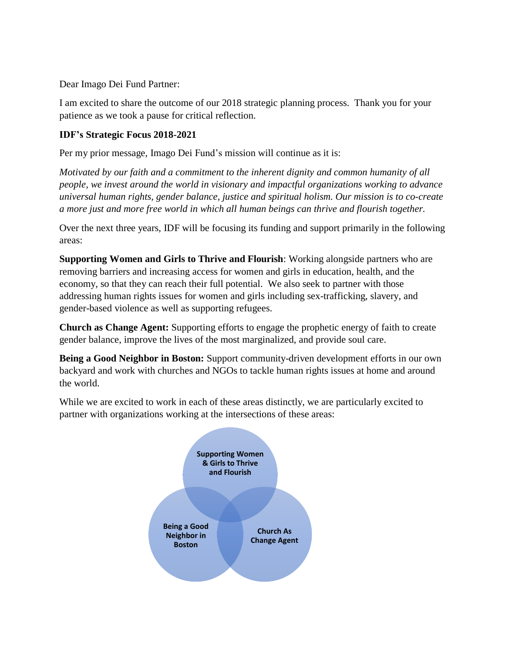Dear Imago Dei Fund Partner:

I am excited to share the outcome of our 2018 strategic planning process. Thank you for your patience as we took a pause for critical reflection.

## **IDF's Strategic Focus 2018-2021**

Per my prior message, Imago Dei Fund's mission will continue as it is:

*Motivated by our faith and a commitment to the inherent dignity and common humanity of all people, we invest around the world in visionary and impactful organizations working to advance universal human rights, gender balance, justice and spiritual holism. Our mission is to co-create a more just and more free world in which all human beings can thrive and flourish together.*

Over the next three years, IDF will be focusing its funding and support primarily in the following areas:

**Supporting Women and Girls to Thrive and Flourish**: Working alongside partners who are removing barriers and increasing access for women and girls in education, health, and the economy, so that they can reach their full potential. We also seek to partner with those addressing human rights issues for women and girls including sex-trafficking, slavery, and gender-based violence as well as supporting refugees.

**Church as Change Agent:** Supporting efforts to engage the prophetic energy of faith to create gender balance, improve the lives of the most marginalized, and provide soul care.

**Being a Good Neighbor in Boston:** Support community-driven development efforts in our own backyard and work with churches and NGOs to tackle human rights issues at home and around the world.

While we are excited to work in each of these areas distinctly, we are particularly excited to partner with organizations working at the intersections of these areas: